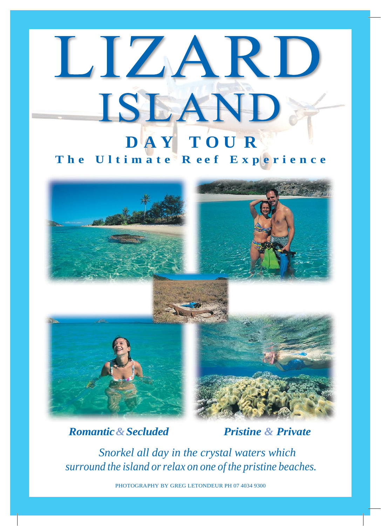## LIZART ISLAND **D A Y T O U R**

## **T h e U l t i m a t e R e e f E x p e r i e n c e**



## *Romantic&Secluded Pristine & Private*

*Snorkel all day in the crystal waters which surround the island orrelax on one of the pristine beaches.*

PHOTOGRAPHY BY GREG LETONDEUR PH 07 4034 9300